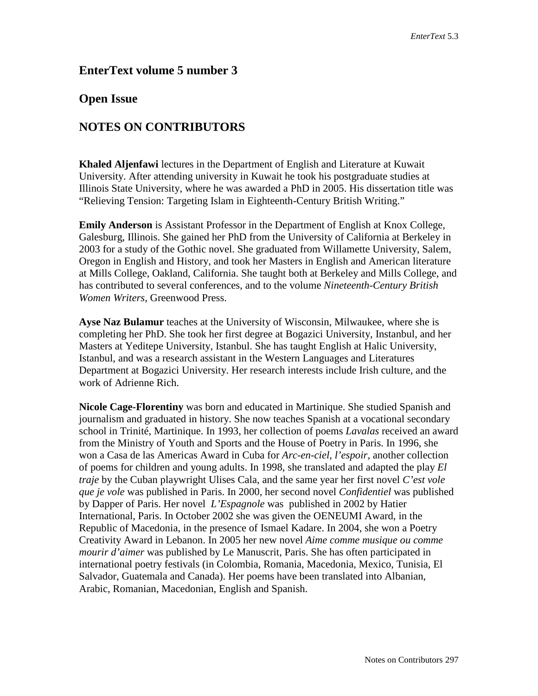## **EnterText volume 5 number 3**

## **Open Issue**

## **NOTES ON CONTRIBUTORS**

**Khaled Aljenfawi** lectures in the Department of English and Literature at Kuwait University. After attending university in Kuwait he took his postgraduate studies at Illinois State University, where he was awarded a PhD in 2005. His dissertation title was "Relieving Tension: Targeting Islam in Eighteenth-Century British Writing."

**Emily Anderson** is Assistant Professor in the Department of English at Knox College, Galesburg, Illinois. She gained her PhD from the University of California at Berkeley in 2003 for a study of the Gothic novel. She graduated from Willamette University, Salem, Oregon in English and History, and took her Masters in English and American literature at Mills College, Oakland, California. She taught both at Berkeley and Mills College, and has contributed to several conferences, and to the volume *Nineteenth-Century British Women Writers,* Greenwood Press.

**Ayse Naz Bulamur** teaches at the University of Wisconsin, Milwaukee, where she is completing her PhD. She took her first degree at Bogazici University, Instanbul, and her Masters at Yeditepe University, Istanbul. She has taught English at Halic University, Istanbul, and was a research assistant in the Western Languages and Literatures Department at Bogazici University. Her research interests include Irish culture, and the work of Adrienne Rich.

**Nicole Cage-Florentiny** was born and educated in Martinique. She studied Spanish and journalism and graduated in history. She now teaches Spanish at a vocational secondary school in Trinité, Martinique. In 1993, her collection of poems *Lavalas* received an award from the Ministry of Youth and Sports and the House of Poetry in Paris. In 1996, she won a Casa de las Americas Award in Cuba for *Arc-en-ciel, l'espoir,* another collection of poems for children and young adults. In 1998, she translated and adapted the play *El traje* by the Cuban playwright Ulises Cala, and the same year her first novel *C'est vole que je vole* was published in Paris. In 2000, her second novel *Confidentiel* was published by Dapper of Paris. Her novel *L'Espagnole* was published in 2002 by Hatier International, Paris. In October 2002 she was given the OENEUMI Award, in the Republic of Macedonia, in the presence of Ismael Kadare. In 2004, she won a Poetry Creativity Award in Lebanon. In 2005 her new novel *Aime comme musique ou comme mourir d'aimer* was published by Le Manuscrit, Paris. She has often participated in international poetry festivals (in Colombia, Romania, Macedonia, Mexico, Tunisia, El Salvador, Guatemala and Canada). Her poems have been translated into Albanian, Arabic, Romanian, Macedonian, English and Spanish.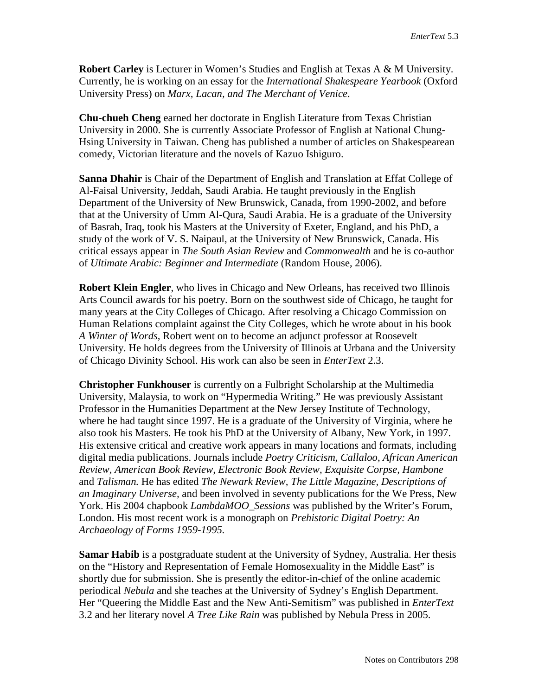**Robert Carley** is Lecturer in Women's Studies and English at Texas A & M University. Currently, he is working on an essay for the *International Shakespeare Yearbook* (Oxford University Press) on *Marx, Lacan, and The Merchant of Venice*.

**Chu-chueh Cheng** earned her doctorate in English Literature from Texas Christian University in 2000. She is currently Associate Professor of English at National Chung-Hsing University in Taiwan. Cheng has published a number of articles on Shakespearean comedy, Victorian literature and the novels of Kazuo Ishiguro.

**Sanna Dhahir** is Chair of the Department of English and Translation at Effat College of Al-Faisal University, Jeddah, Saudi Arabia. He taught previously in the English Department of the University of New Brunswick, Canada, from 1990-2002, and before that at the University of Umm Al-Qura, Saudi Arabia. He is a graduate of the University of Basrah, Iraq, took his Masters at the University of Exeter, England, and his PhD, a study of the work of V. S. Naipaul, at the University of New Brunswick, Canada. His critical essays appear in *The South Asian Review* and *Commonwealth* and he is co-author of *Ultimate Arabic: Beginner and Intermediate* (Random House, 2006).

**Robert Klein Engler**, who lives in Chicago and New Orleans, has received two Illinois Arts Council awards for his poetry. Born on the southwest side of Chicago, he taught for many years at the City Colleges of Chicago. After resolving a Chicago Commission on Human Relations complaint against the City Colleges, which he wrote about in his book *A Winter of Words,* Robert went on to become an adjunct professor at Roosevelt University. He holds degrees from the University of Illinois at Urbana and the University of Chicago Divinity School. His work can also be seen in *EnterText* 2.3.

**Christopher Funkhouser** is currently on a Fulbright Scholarship at the Multimedia University, Malaysia, to work on "Hypermedia Writing." He was previously Assistant Professor in the Humanities Department at the New Jersey Institute of Technology, where he had taught since 1997. He is a graduate of the University of Virginia, where he also took his Masters. He took his PhD at the University of Albany, New York, in 1997. His extensive critical and creative work appears in many locations and formats, including digital media publications. Journals include *Poetry Criticism, Callaloo, African American Review, American Book Review, Electronic Book Review, Exquisite Corpse, Hambone*  and *Talisman.* He has edited *The Newark Review, The Little Magazine, Descriptions of an Imaginary Universe,* and been involved in seventy publications for the We Press, New York. His 2004 chapbook *LambdaMOO\_Sessions* was published by the Writer's Forum, London. His most recent work is a monograph on *Prehistoric Digital Poetry: An Archaeology of Forms 1959-1995.*

**Samar Habib** is a postgraduate student at the University of Sydney, Australia. Her thesis on the "History and Representation of Female Homosexuality in the Middle East" is shortly due for submission. She is presently the editor-in-chief of the online academic periodical *Nebula* and she teaches at the University of Sydney's English Department. Her "Queering the Middle East and the New Anti-Semitism" was published in *EnterText* 3.2 and her literary novel *A Tree Like Rain* was published by Nebula Press in 2005.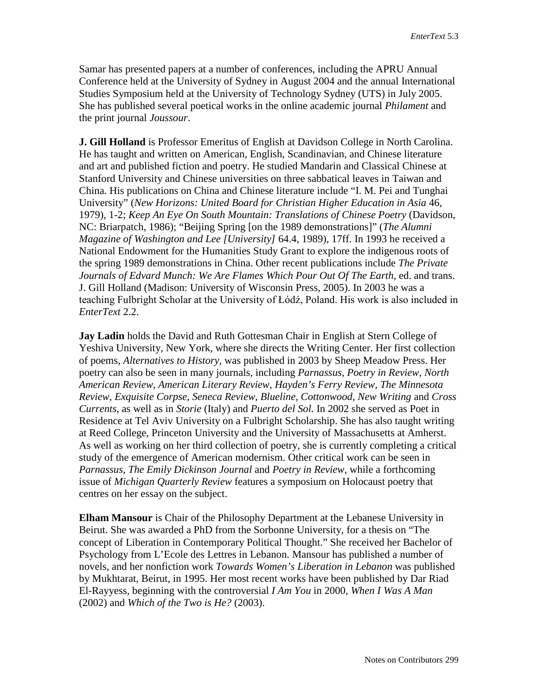Samar has presented papers at a number of conferences, including the APRU Annual Conference held at the University of Sydney in August 2004 and the annual International Studies Symposium held at the University of Technology Sydney (UTS) in July 2005. She has published several poetical works in the online academic journal *Philament* and the print journal *Joussour*.

**J. Gill Holland** is Professor Emeritus of English at Davidson College in North Carolina. He has taught and written on American, English, Scandinavian, and Chinese literature and art and published fiction and poetry. He studied Mandarin and Classical Chinese at Stanford University and Chinese universities on three sabbatical leaves in Taiwan and China. His publications on China and Chinese literature include "I. M. Pei and Tunghai University" (*New Horizons: United Board for Christian Higher Education in Asia* 46, 1979), 1-2; *Keep An Eye On South Mountain: Translations of Chinese Poetry* (Davidson, NC: Briarpatch, 1986); "Beijing Spring [on the 1989 demonstrations]" (*The Alumni Magazine of Washington and Lee [University]* 64.4, 1989), 17ff. In 1993 he received a National Endowment for the Humanities Study Grant to explore the indigenous roots of the spring 1989 demonstrations in China. Other recent publications include *The Private Journals of Edvard Munch: We Are Flames Which Pour Out Of The Earth*, ed. and trans. J. Gill Holland (Madison: University of Wisconsin Press, 2005). In 2003 he was a teaching Fulbright Scholar at the University of Łódź, Poland. His work is also included in *EnterText* 2.2.

**Jay Ladin** holds the David and Ruth Gottesman Chair in English at Stern College of Yeshiva University, New York, where she directs the Writing Center. Her first collection of poems, *Alternatives to History,* was published in 2003 by Sheep Meadow Press. Her poetry can also be seen in many journals, including *Parnassus, Poetry in Review, North American Review, American Literary Review, Hayden's Ferry Review, The Minnesota Review, Exquisite Corpse, Seneca Review, Blueline, Cottonwood, New Writing* and *Cross Currents*, as well as in *Storie* (Italy) and *Puerto del Sol.* In 2002 she served as Poet in Residence at Tel Aviv University on a Fulbright Scholarship. She has also taught writing at Reed College, Princeton University and the University of Massachusetts at Amherst. As well as working on her third collection of poetry, she is currently completing a critical study of the emergence of American modernism. Other critical work can be seen in *Parnassus, The Emily Dickinson Journal* and *Poetry in Review,* while a forthcoming issue of *Michigan Quarterly Review* features a symposium on Holocaust poetry that centres on her essay on the subject.

**Elham Mansour** is Chair of the Philosophy Department at the Lebanese University in Beirut. She was awarded a PhD from the Sorbonne University, for a thesis on "The concept of Liberation in Contemporary Political Thought." She received her Bachelor of Psychology from L'Ecole des Lettres in Lebanon. Mansour has published a number of novels, and her nonfiction work *Towards Women's Liberation in Lebanon* was published by Mukhtarat, Beirut, in 1995. Her most recent works have been published by Dar Riad El-Rayyess, beginning with the controversial *I Am You* in 2000, *When I Was A Man*  (2002) and *Which of the Two is He?* (2003).